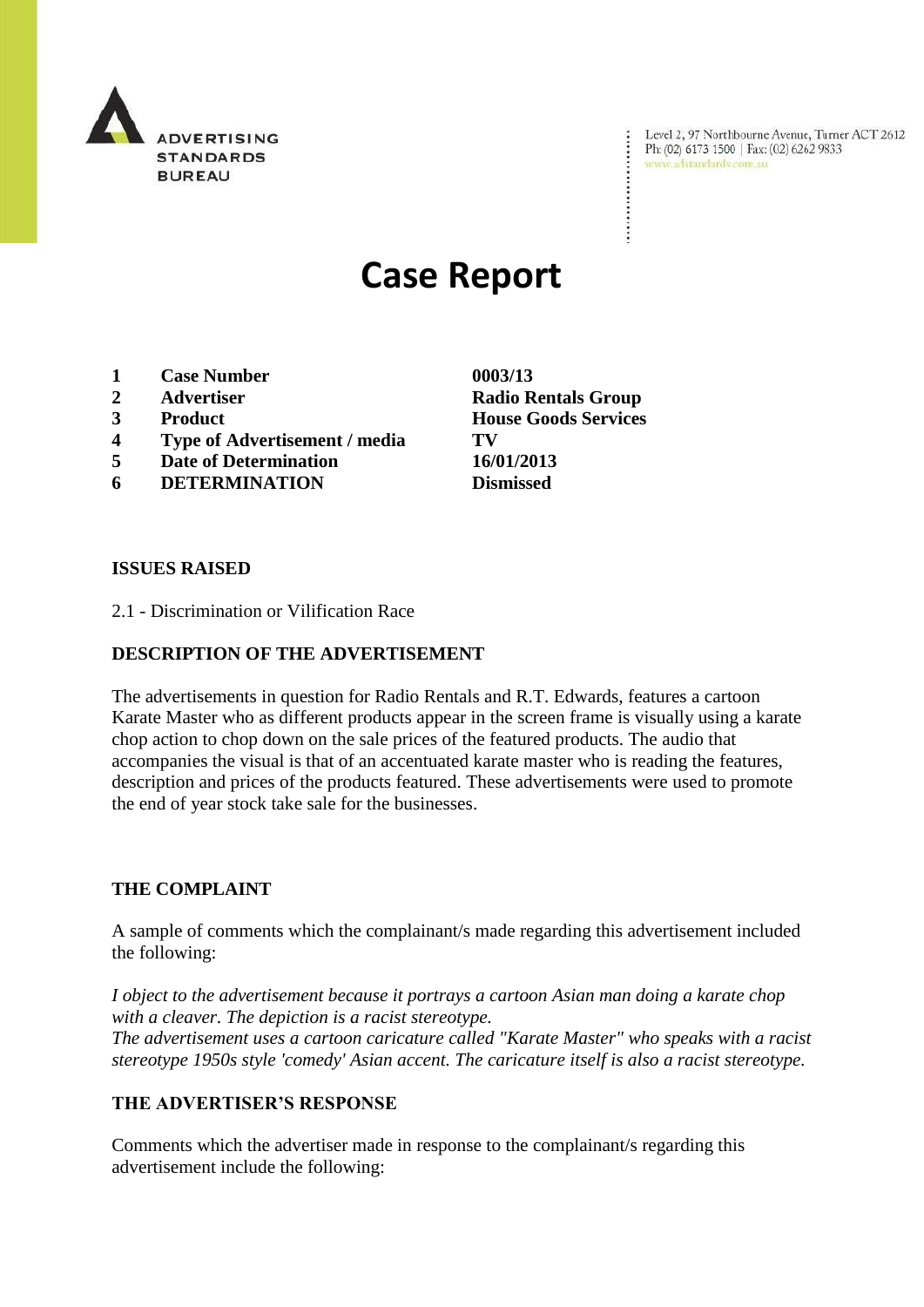

Level 2, 97 Northbourne Avenue, Turner ACT 2612 Ph: (02) 6173 1500 | Fax: (02) 6262 9833 www.adstandards.com.au

# **Case Report**

- **1 Case Number 0003/13**
- 
- 
- **4 Type of Advertisement / media TV**
- **5 Date of Determination 16/01/2013**
- **6 DETERMINATION Dismissed**

**ISSUES RAISED**

2.1 - Discrimination or Vilification Race

## **DESCRIPTION OF THE ADVERTISEMENT**

The advertisements in question for Radio Rentals and R.T. Edwards, features a cartoon Karate Master who as different products appear in the screen frame is visually using a karate chop action to chop down on the sale prices of the featured products. The audio that accompanies the visual is that of an accentuated karate master who is reading the features, description and prices of the products featured. These advertisements were used to promote the end of year stock take sale for the businesses.

#### **THE COMPLAINT**

A sample of comments which the complainant/s made regarding this advertisement included the following:

*I object to the advertisement because it portrays a cartoon Asian man doing a karate chop with a cleaver. The depiction is a racist stereotype.*

*The advertisement uses a cartoon caricature called "Karate Master" who speaks with a racist stereotype 1950s style 'comedy' Asian accent. The caricature itself is also a racist stereotype.*

## **THE ADVERTISER'S RESPONSE**

Comments which the advertiser made in response to the complainant/s regarding this advertisement include the following:

**2 Advertiser Radio Rentals Group 3 Product House Goods Services**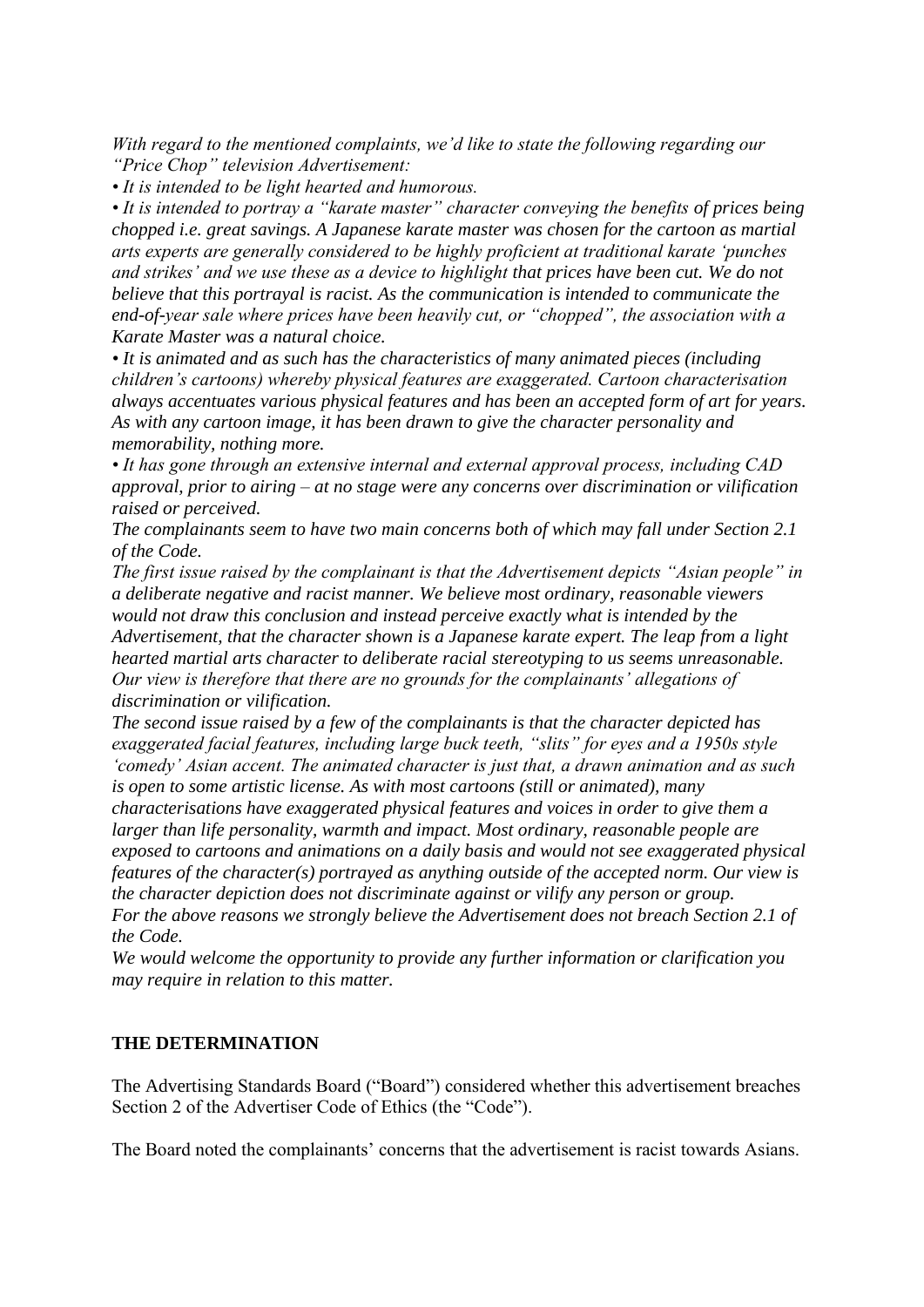*With regard to the mentioned complaints, we"d like to state the following regarding our "Price Chop" television Advertisement:*

*• It is intended to be light hearted and humorous.*

• It is intended to portray a "karate master" character conveying the benefits of prices being *chopped i.e. great savings. A Japanese karate master was chosen for the cartoon as martial arts experts are generally considered to be highly proficient at traditional karate "punches and strikes" and we use these as a device to highlight that prices have been cut. We do not believe that this portrayal is racist. As the communication is intended to communicate the end-of-year sale where prices have been heavily cut, or "chopped", the association with a Karate Master was a natural choice.*

*• It is animated and as such has the characteristics of many animated pieces (including children"s cartoons) whereby physical features are exaggerated. Cartoon characterisation always accentuates various physical features and has been an accepted form of art for years. As with any cartoon image, it has been drawn to give the character personality and memorability, nothing more.*

*• It has gone through an extensive internal and external approval process, including CAD approval, prior to airing – at no stage were any concerns over discrimination or vilification raised or perceived.*

*The complainants seem to have two main concerns both of which may fall under Section 2.1 of the Code.*

*The first issue raised by the complainant is that the Advertisement depicts "Asian people" in a deliberate negative and racist manner. We believe most ordinary, reasonable viewers would not draw this conclusion and instead perceive exactly what is intended by the Advertisement, that the character shown is a Japanese karate expert. The leap from a light hearted martial arts character to deliberate racial stereotyping to us seems unreasonable. Our view is therefore that there are no grounds for the complainants" allegations of discrimination or vilification.*

*The second issue raised by a few of the complainants is that the character depicted has exaggerated facial features, including large buck teeth, "slits" for eyes and a 1950s style "comedy" Asian accent. The animated character is just that, a drawn animation and as such is open to some artistic license. As with most cartoons (still or animated), many* 

*characterisations have exaggerated physical features and voices in order to give them a larger than life personality, warmth and impact. Most ordinary, reasonable people are exposed to cartoons and animations on a daily basis and would not see exaggerated physical features of the character(s) portrayed as anything outside of the accepted norm. Our view is the character depiction does not discriminate against or vilify any person or group. For the above reasons we strongly believe the Advertisement does not breach Section 2.1 of* 

*the Code.*

*We would welcome the opportunity to provide any further information or clarification you may require in relation to this matter.*

### **THE DETERMINATION**

The Advertising Standards Board ("Board") considered whether this advertisement breaches Section 2 of the Advertiser Code of Ethics (the "Code").

The Board noted the complainants' concerns that the advertisement is racist towards Asians.